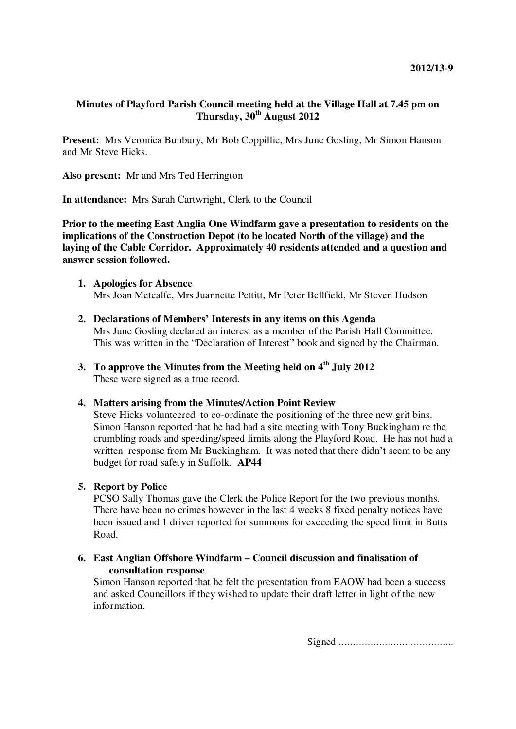# **Minutes of Playford Parish Council meeting held at the Village Hall at 7.45 pm on Thursday, 30th August 2012**

**Present:** Mrs Veronica Bunbury, Mr Bob Coppillie, Mrs June Gosling, Mr Simon Hanson and Mr Steve Hicks.

**Also present:** Mr and Mrs Ted Herrington

**In attendance:** Mrs Sarah Cartwright, Clerk to the Council

**Prior to the meeting East Anglia One Windfarm gave a presentation to residents on the implications of the Construction Depot (to be located North of the village) and the laying of the Cable Corridor. Approximately 40 residents attended and a question and answer session followed.** 

- **1. Apologies for Absence**  Mrs Joan Metcalfe, Mrs Juannette Pettitt, Mr Peter Bellfield, Mr Steven Hudson
- **2. Declarations of Members' Interests in any items on this Agenda**  Mrs June Gosling declared an interest as a member of the Parish Hall Committee. This was written in the "Declaration of Interest" book and signed by the Chairman.
- **3. To approve the Minutes from the Meeting held on 4th July 2012**  These were signed as a true record.

# **4. Matters arising from the Minutes/Action Point Review**

Steve Hicks volunteered to co-ordinate the positioning of the three new grit bins. Simon Hanson reported that he had had a site meeting with Tony Buckingham re the crumbling roads and speeding/speed limits along the Playford Road. He has not had a written response from Mr Buckingham. It was noted that there didn't seem to be any budget for road safety in Suffolk. **AP44**

# **5. Report by Police**

PCSO Sally Thomas gave the Clerk the Police Report for the two previous months. There have been no crimes however in the last 4 weeks 8 fixed penalty notices have been issued and 1 driver reported for summons for exceeding the speed limit in Butts Road.

**6. East Anglian Offshore Windfarm – Council discussion and finalisation of consultation response** 

Simon Hanson reported that he felt the presentation from EAOW had been a success and asked Councillors if they wished to update their draft letter in light of the new information.

Signed ………………………………….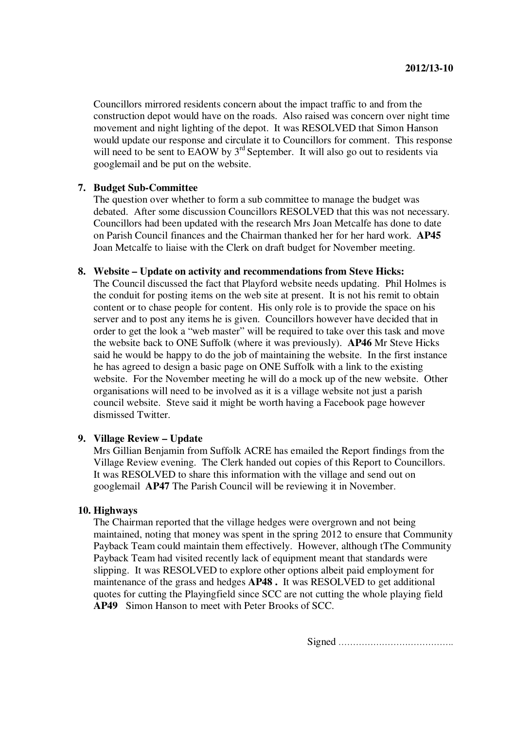Councillors mirrored residents concern about the impact traffic to and from the construction depot would have on the roads. Also raised was concern over night time movement and night lighting of the depot. It was RESOLVED that Simon Hanson would update our response and circulate it to Councillors for comment. This response will need to be sent to EAOW by 3<sup>rd</sup> September. It will also go out to residents via googlemail and be put on the website.

# **7. Budget Sub-Committee**

The question over whether to form a sub committee to manage the budget was debated. After some discussion Councillors RESOLVED that this was not necessary. Councillors had been updated with the research Mrs Joan Metcalfe has done to date on Parish Council finances and the Chairman thanked her for her hard work. **AP45**  Joan Metcalfe to liaise with the Clerk on draft budget for November meeting.

#### **8. Website – Update on activity and recommendations from Steve Hicks:**

The Council discussed the fact that Playford website needs updating. Phil Holmes is the conduit for posting items on the web site at present. It is not his remit to obtain content or to chase people for content. His only role is to provide the space on his server and to post any items he is given. Councillors however have decided that in order to get the look a "web master" will be required to take over this task and move the website back to ONE Suffolk (where it was previously). **AP46** Mr Steve Hicks said he would be happy to do the job of maintaining the website. In the first instance he has agreed to design a basic page on ONE Suffolk with a link to the existing website. For the November meeting he will do a mock up of the new website. Other organisations will need to be involved as it is a village website not just a parish council website. Steve said it might be worth having a Facebook page however dismissed Twitter.

### **9. Village Review – Update**

Mrs Gillian Benjamin from Suffolk ACRE has emailed the Report findings from the Village Review evening. The Clerk handed out copies of this Report to Councillors. It was RESOLVED to share this information with the village and send out on googlemail **AP47** The Parish Council will be reviewing it in November.

#### **10. Highways**

The Chairman reported that the village hedges were overgrown and not being maintained, noting that money was spent in the spring 2012 to ensure that Community Payback Team could maintain them effectively. However, although tThe Community Payback Team had visited recently lack of equipment meant that standards were slipping. It was RESOLVED to explore other options albeit paid employment for maintenance of the grass and hedges **AP48 .** It was RESOLVED to get additional quotes for cutting the Playingfield since SCC are not cutting the whole playing field **AP49** Simon Hanson to meet with Peter Brooks of SCC.

Signed ………………………………….